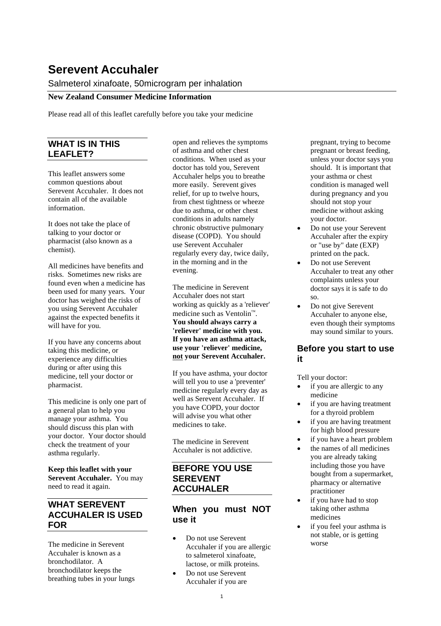# **Serevent Accuhaler**

# Salmeterol xinafoate, 50microgram per inhalation

#### **New Zealand Consumer Medicine Information**

Please read all of this leaflet carefully before you take your medicine

# **WHAT IS IN THIS LEAFLET?**

This leaflet answers some common questions about Serevent Accuhaler. It does not contain all of the available information.

It does not take the place of talking to your doctor or pharmacist (also known as a chemist).

All medicines have benefits and risks. Sometimes new risks are found even when a medicine has been used for many years. Your doctor has weighed the risks of you using Serevent Accuhaler against the expected benefits it will have for you.

If you have any concerns about taking this medicine, or experience any difficulties during or after using this medicine, tell your doctor or pharmacist.

This medicine is only one part of a general plan to help you manage your asthma. You should discuss this plan with your doctor. Your doctor should check the treatment of your asthma regularly.

**Keep this leaflet with your Serevent Accuhaler.** You may need to read it again.

# **WHAT SEREVENT ACCUHALER IS USED FOR**

The medicine in Serevent Accuhaler is known as a bronchodilator. A bronchodilator keeps the breathing tubes in your lungs open and relieves the symptoms of asthma and other chest conditions. When used as your doctor has told you, Serevent Accuhaler helps you to breathe more easily. Serevent gives relief, for up to twelve hours, from chest tightness or wheeze due to asthma, or other chest conditions in adults namely chronic obstructive pulmonary disease (COPD). You should use Serevent Accuhaler regularly every day, twice daily, in the morning and in the evening.

The medicine in Serevent Accuhaler does not start working as quickly as a 'reliever' medicine such as Ventolin<sup>™</sup>. **You should always carry a 'reliever' medicine with you. If you have an asthma attack, use your 'reliever' medicine, not your Serevent Accuhaler.**

If you have asthma, your doctor will tell you to use a 'preventer' medicine regularly every day as well as Serevent Accuhaler. If you have COPD, your doctor will advise you what other medicines to take.

The medicine in Serevent Accuhaler is not addictive.

#### **BEFORE YOU USE SEREVENT ACCUHALER**

#### **When you must NOT use it**

- Do not use Serevent Accuhaler if you are allergic to salmeterol xinafoate, lactose, or milk proteins.
- Do not use Serevent Accuhaler if you are

pregnant, trying to become pregnant or breast feeding, unless your doctor says you should. It is important that your asthma or chest condition is managed well during pregnancy and you should not stop your medicine without asking your doctor.

- Do not use your Serevent Accuhaler after the expiry or "use by" date (EXP) printed on the pack.
- Do not use Serevent Accuhaler to treat any other complaints unless your doctor says it is safe to do so.
- Do not give Serevent Accuhaler to anyone else, even though their symptoms may sound similar to yours.

#### **Before you start to use it**

Tell your doctor:

- if you are allergic to any medicine
- if you are having treatment for a thyroid problem
- if you are having treatment for high blood pressure
- if you have a heart problem
- the names of all medicines you are already taking including those you have bought from a supermarket, pharmacy or alternative practitioner
- if you have had to stop taking other asthma medicines
- if you feel your asthma is not stable, or is getting worse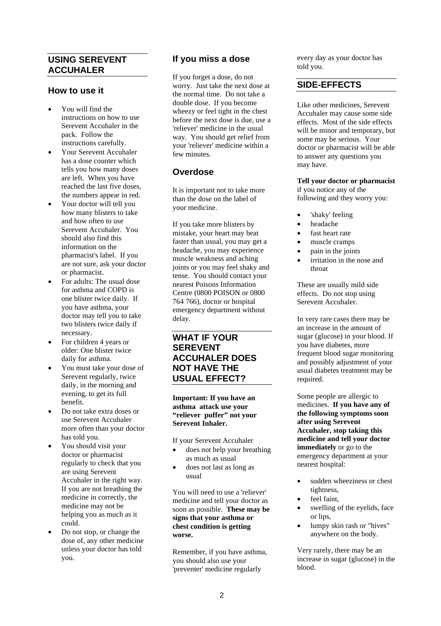# **USING SEREVENT ACCUHALER**

#### **How to use it**

- You will find the instructions on how to use Serevent Accuhaler in the pack. Follow the instructions carefully.
- Your Serevent Accuhaler has a dose counter which tells you how many doses are left. When you have reached the last five doses, the numbers appear in red.
- Your doctor will tell you how many blisters to take and how often to use Serevent Accuhaler. You should also find this information on the pharmacist's label. If you are not sure, ask your doctor or pharmacist.
- For adults: The usual dose for asthma and COPD is one blister twice daily. If you have asthma, your doctor may tell you to take two blisters twice daily if necessary.
- For children 4 years or older: One blister twice daily for asthma.
- You must take your dose of Serevent regularly, twice daily, in the morning and evening, to get its full benefit.
- Do not take extra doses or use Serevent Accuhaler more often than your doctor has told you.
- You should visit your doctor or pharmacist regularly to check that you are using Serevent Accuhaler in the right way. If you are not breathing the medicine in correctly, the medicine may not be helping you as much as it could.
- Do not stop, or change the dose of, any other medicine unless your doctor has told you.

# **If you miss a dose**

If you forget a dose, do not worry. Just take the next dose at the normal time. Do not take a double dose. If you become wheezy or feel tight in the chest before the next dose is due, use a 'reliever' medicine in the usual way. You should get relief from your 'reliever' medicine within a few minutes.

# **Overdose**

It is important not to take more than the dose on the label of your medicine.

If you take more blisters by mistake, your heart may beat faster than usual, you may get a headache, you may experience muscle weakness and aching joints or you may feel shaky and tense. You should contact your nearest Poisons Information Centre (0800 POISON or 0800 764 766), doctor or hospital emergency department without delay.

# **WHAT IF YOUR SEREVENT ACCUHALER DOES NOT HAVE THE USUAL EFFECT?**

**Important: If you have an asthma attack use your "reliever puffer" not your Serevent Inhaler.**

If your Serevent Accuhaler

- does not help your breathing as much as usual
- does not last as long as usual

You will need to use a 'reliever' medicine and tell your doctor as soon as possible. **These may be signs that your asthma or chest condition is getting worse.**

Remember, if you have asthma, you should also use your 'preventer' medicine regularly

every day as your doctor has told you.

# **SIDE-EFFECTS**

Like other medicines, Serevent Accuhaler may cause some side effects. Most of the side effects will be minor and temporary, but some may be serious. Your doctor or pharmacist will be able to answer any questions you may have.

#### **Tell your doctor or pharmacist**

if you notice any of the following and they worry you:

- 'shaky' feeling
- headache
- fast heart rate
- muscle cramps
- pain in the joints
- irritation in the nose and throat

These are usually mild side effects. Do not stop using Serevent Accuhaler.

In very rare cases there may be an increase in the amount of sugar (glucose) in your blood. If you have diabetes, more frequent blood sugar monitoring and possibly adjustment of your usual diabetes treatment may be required.

Some people are allergic to medicines. **If you have any of the following symptoms soon after using Serevent Accuhaler, stop taking this medicine and tell your doctor immediately** or go to the emergency department at your nearest hospital:

- sudden wheeziness or chest tightness,
- feel faint,
- swelling of the eyelids, face or lips,
- lumpy skin rash or "hives" anywhere on the body.

Very rarely, there may be an increase in sugar (glucose) in the blood.